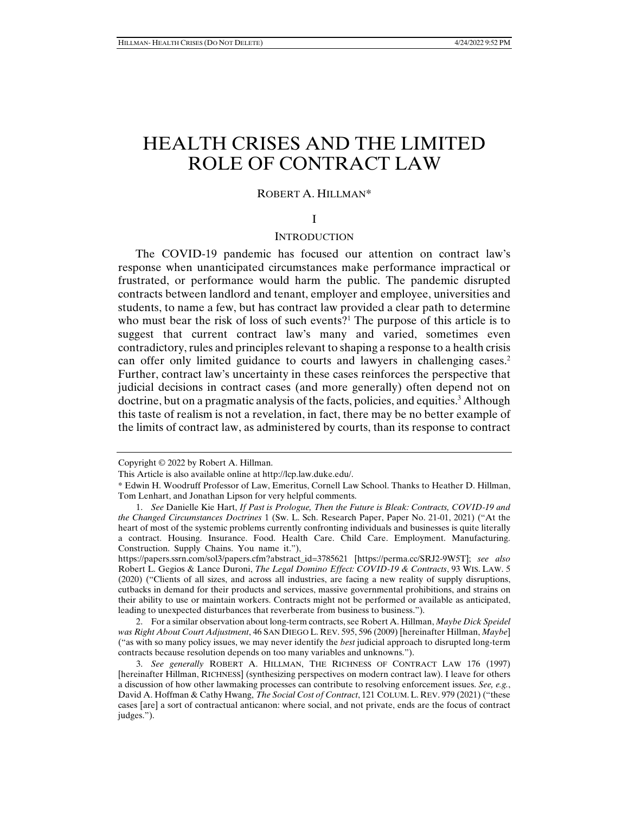# HEALTH CRISES AND THE LIMITED ROLE OF CONTRACT LAW

#### ROBERT A. HILLMAN\*

## I

#### **INTRODUCTION**

The COVID-19 pandemic has focused our attention on contract law's response when unanticipated circumstances make performance impractical or frustrated, or performance would harm the public. The pandemic disrupted contracts between landlord and tenant, employer and employee, universities and students, to name a few, but has contract law provided a clear path to determine who must bear the risk of loss of such events?<sup>1</sup> The purpose of this article is to suggest that current contract law's many and varied, sometimes even contradictory, rules and principles relevant to shaping a response to a health crisis can offer only limited guidance to courts and lawyers in challenging cases.<sup>2</sup> Further, contract law's uncertainty in these cases reinforces the perspective that judicial decisions in contract cases (and more generally) often depend not on doctrine, but on a pragmatic analysis of the facts, policies, and equities.<sup>3</sup> Although this taste of realism is not a revelation, in fact, there may be no better example of the limits of contract law, as administered by courts, than its response to contract

Copyright © 2022 by Robert A. Hillman.

This Article is also available online at http://lcp.law.duke.edu/.

<sup>\*</sup> Edwin H. Woodruff Professor of Law, Emeritus, Cornell Law School. Thanks to Heather D. Hillman, Tom Lenhart, and Jonathan Lipson for very helpful comments.

 <sup>1.</sup> *See* Danielle Kie Hart, *If Past is Prologue, Then the Future is Bleak: Contracts, COVID-19 and the Changed Circumstances Doctrines* 1 (Sw. L. Sch. Research Paper, Paper No. 21-01, 2021) ("At the heart of most of the systemic problems currently confronting individuals and businesses is quite literally a contract. Housing. Insurance. Food. Health Care. Child Care. Employment. Manufacturing. Construction. Supply Chains. You name it."),

https://papers.ssrn.com/sol3/papers.cfm?abstract\_id=3785621 [https://perma.cc/SRJ2-9W5T]; *see also* Robert L. Gegios & Lance Duroni, *The Legal Domino Effect: COVID-19 & Contracts*, 93 WIS. LAW. 5 (2020) ("Clients of all sizes, and across all industries, are facing a new reality of supply disruptions, cutbacks in demand for their products and services, massive governmental prohibitions, and strains on their ability to use or maintain workers. Contracts might not be performed or available as anticipated, leading to unexpected disturbances that reverberate from business to business.").

 <sup>2.</sup> For a similar observation about long-term contracts, see Robert A. Hillman, *Maybe Dick Speidel was Right About Court Adjustment*, 46 SAN DIEGO L. REV. 595, 596 (2009) [hereinafter Hillman, *Maybe*] ("as with so many policy issues, we may never identify the *best* judicial approach to disrupted long-term contracts because resolution depends on too many variables and unknowns.").

 <sup>3.</sup> *See generally* ROBERT A. HILLMAN, THE RICHNESS OF CONTRACT LAW 176 (1997) [hereinafter Hillman, RICHNESS] (synthesizing perspectives on modern contract law). I leave for others a discussion of how other lawmaking processes can contribute to resolving enforcement issues. *See, e.g.*, David A. Hoffman & Cathy Hwang, *The Social Cost of Contract*, 121 COLUM. L. REV. 979 (2021) ("these cases [are] a sort of contractual anticanon: where social, and not private, ends are the focus of contract judges.").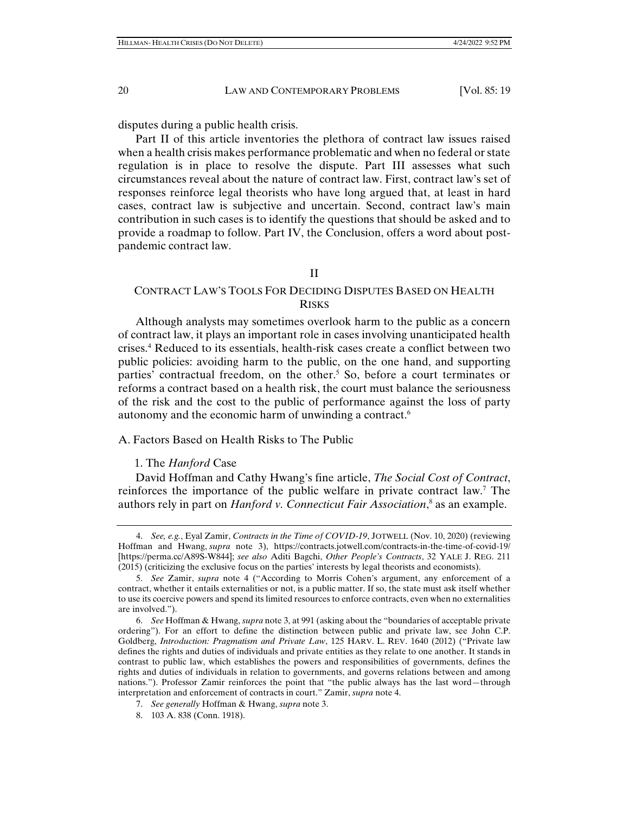disputes during a public health crisis.

Part II of this article inventories the plethora of contract law issues raised when a health crisis makes performance problematic and when no federal or state regulation is in place to resolve the dispute. Part III assesses what such circumstances reveal about the nature of contract law. First, contract law's set of responses reinforce legal theorists who have long argued that, at least in hard cases, contract law is subjective and uncertain. Second, contract law's main contribution in such cases is to identify the questions that should be asked and to provide a roadmap to follow. Part IV, the Conclusion, offers a word about postpandemic contract law.

#### II

# CONTRACT LAW'S TOOLS FOR DECIDING DISPUTES BASED ON HEALTH **RISKS**

Although analysts may sometimes overlook harm to the public as a concern of contract law, it plays an important role in cases involving unanticipated health crises.4 Reduced to its essentials, health-risk cases create a conflict between two public policies: avoiding harm to the public, on the one hand, and supporting parties' contractual freedom, on the other.<sup>5</sup> So, before a court terminates or reforms a contract based on a health risk, the court must balance the seriousness of the risk and the cost to the public of performance against the loss of party autonomy and the economic harm of unwinding a contract.<sup>6</sup>

A. Factors Based on Health Risks to The Public

#### 1. The *Hanford* Case

David Hoffman and Cathy Hwang's fine article, *The Social Cost of Contract*, reinforces the importance of the public welfare in private contract law.<sup>7</sup> The authors rely in part on *Hanford v. Connecticut Fair Association*,<sup>8</sup> as an example.

 <sup>4.</sup> *See, e.g.*, Eyal Zamir, *Contracts in the Time of COVID-19*, JOTWELL (Nov. 10, 2020) (reviewing Hoffman and Hwang, *supra* note 3), https://contracts.jotwell.com/contracts-in-the-time-of-covid-19/ [https://perma.cc/A89S-W844]; *see also* Aditi Bagchi, *Other People's Contracts*, 32 YALE J. REG. 211 (2015) (criticizing the exclusive focus on the parties' interests by legal theorists and economists).

 <sup>5.</sup> *See* Zamir, *supra* note 4 ("According to Morris Cohen's argument, any enforcement of a contract, whether it entails externalities or not, is a public matter. If so, the state must ask itself whether to use its coercive powers and spend its limited resources to enforce contracts, even when no externalities are involved.").

 <sup>6.</sup> *See* Hoffman & Hwang, *supra* note 3, at 991 (asking about the "boundaries of acceptable private ordering"). For an effort to define the distinction between public and private law, see John C.P. Goldberg, *Introduction: Pragmatism and Private Law*, 125 HARV. L. REV. 1640 (2012) ("Private law defines the rights and duties of individuals and private entities as they relate to one another. It stands in contrast to public law, which establishes the powers and responsibilities of governments, defines the rights and duties of individuals in relation to governments, and governs relations between and among nations."). Professor Zamir reinforces the point that "the public always has the last word—through interpretation and enforcement of contracts in court." Zamir, *supra* note 4.

 <sup>7.</sup> *See generally* Hoffman & Hwang, *supra* note 3.

 <sup>8. 103</sup> A. 838 (Conn. 1918).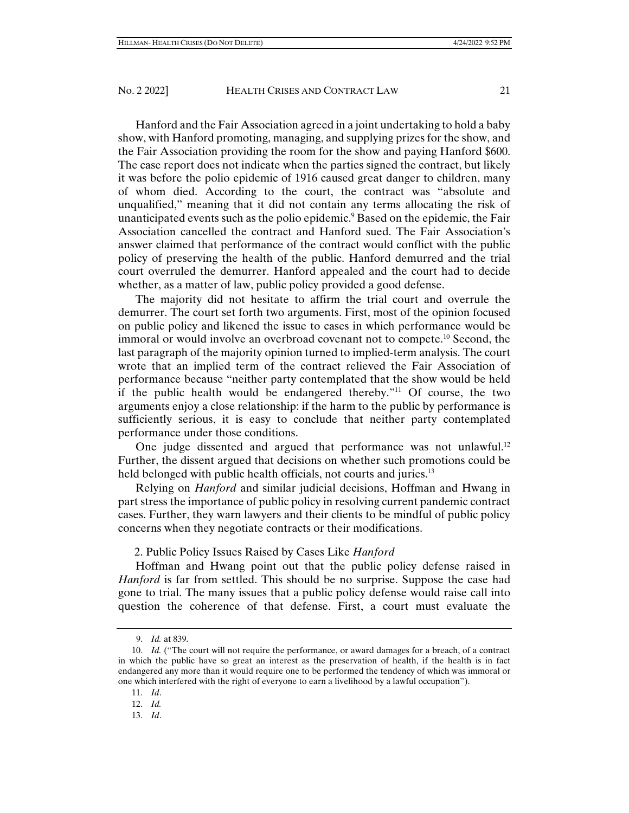Hanford and the Fair Association agreed in a joint undertaking to hold a baby show, with Hanford promoting, managing, and supplying prizes for the show, and the Fair Association providing the room for the show and paying Hanford \$600. The case report does not indicate when the parties signed the contract, but likely it was before the polio epidemic of 1916 caused great danger to children, many of whom died. According to the court, the contract was "absolute and unqualified," meaning that it did not contain any terms allocating the risk of unanticipated events such as the polio epidemic.<sup>9</sup> Based on the epidemic, the Fair Association cancelled the contract and Hanford sued. The Fair Association's answer claimed that performance of the contract would conflict with the public policy of preserving the health of the public. Hanford demurred and the trial court overruled the demurrer. Hanford appealed and the court had to decide whether, as a matter of law, public policy provided a good defense.

The majority did not hesitate to affirm the trial court and overrule the demurrer. The court set forth two arguments. First, most of the opinion focused on public policy and likened the issue to cases in which performance would be immoral or would involve an overbroad covenant not to compete.<sup>10</sup> Second, the last paragraph of the majority opinion turned to implied-term analysis. The court wrote that an implied term of the contract relieved the Fair Association of performance because "neither party contemplated that the show would be held if the public health would be endangered thereby."11 Of course, the two arguments enjoy a close relationship: if the harm to the public by performance is sufficiently serious, it is easy to conclude that neither party contemplated performance under those conditions.

One judge dissented and argued that performance was not unlawful.<sup>12</sup> Further, the dissent argued that decisions on whether such promotions could be held belonged with public health officials, not courts and juries.<sup>13</sup>

Relying on *Hanford* and similar judicial decisions, Hoffman and Hwang in part stress the importance of public policy in resolving current pandemic contract cases. Further, they warn lawyers and their clients to be mindful of public policy concerns when they negotiate contracts or their modifications.

2. Public Policy Issues Raised by Cases Like *Hanford*

Hoffman and Hwang point out that the public policy defense raised in *Hanford* is far from settled. This should be no surprise. Suppose the case had gone to trial. The many issues that a public policy defense would raise call into question the coherence of that defense. First, a court must evaluate the

13. *Id*.

 <sup>9.</sup> *Id.* at 839.

<sup>10.</sup> *Id.* ("The court will not require the performance, or award damages for a breach, of a contract in which the public have so great an interest as the preservation of health, if the health is in fact endangered any more than it would require one to be performed the tendency of which was immoral or one which interfered with the right of everyone to earn a livelihood by a lawful occupation").

 <sup>11.</sup> *Id*.

 <sup>12.</sup> *Id.*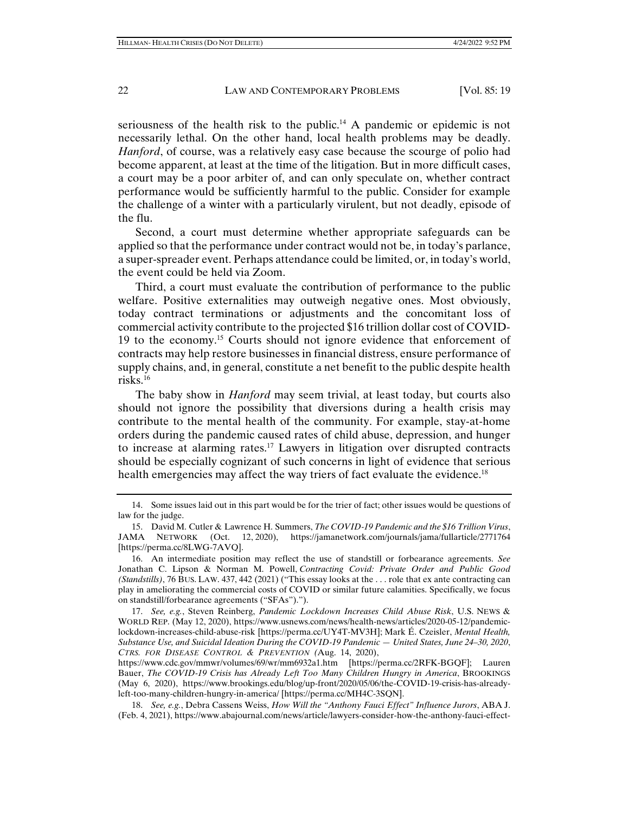seriousness of the health risk to the public.<sup>14</sup> A pandemic or epidemic is not necessarily lethal. On the other hand, local health problems may be deadly. *Hanford*, of course, was a relatively easy case because the scourge of polio had become apparent, at least at the time of the litigation. But in more difficult cases, a court may be a poor arbiter of, and can only speculate on, whether contract performance would be sufficiently harmful to the public. Consider for example the challenge of a winter with a particularly virulent, but not deadly, episode of the flu.

Second, a court must determine whether appropriate safeguards can be applied so that the performance under contract would not be, in today's parlance, a super-spreader event. Perhaps attendance could be limited, or, in today's world, the event could be held via Zoom.

Third, a court must evaluate the contribution of performance to the public welfare. Positive externalities may outweigh negative ones. Most obviously, today contract terminations or adjustments and the concomitant loss of commercial activity contribute to the projected \$16 trillion dollar cost of COVID-19 to the economy.<sup>15</sup> Courts should not ignore evidence that enforcement of contracts may help restore businesses in financial distress, ensure performance of supply chains, and, in general, constitute a net benefit to the public despite health risks. $16$ 

The baby show in *Hanford* may seem trivial, at least today, but courts also should not ignore the possibility that diversions during a health crisis may contribute to the mental health of the community. For example, stay-at-home orders during the pandemic caused rates of child abuse, depression, and hunger to increase at alarming rates.<sup>17</sup> Lawyers in litigation over disrupted contracts should be especially cognizant of such concerns in light of evidence that serious health emergencies may affect the way triers of fact evaluate the evidence.<sup>18</sup>

 <sup>14.</sup> Some issues laid out in this part would be for the trier of fact; other issues would be questions of law for the judge.

 <sup>15.</sup> David M. Cutler & Lawrence H. Summers, *The COVID-19 Pandemic and the \$16 Trillion Virus*, JAMA NETWORK (Oct. 12, 2020), https://jamanetwork.com/journals/jama/fullarticle/2771764 [https://perma.cc/8LWG-7AVQ].

 <sup>16.</sup> An intermediate position may reflect the use of standstill or forbearance agreements. *See*  Jonathan C. Lipson & Norman M. Powell, *Contracting Covid: Private Order and Public Good (Standstills)*, 76 BUS. LAW. 437, 442 (2021) ("This essay looks at the . . . role that ex ante contracting can play in ameliorating the commercial costs of COVID or similar future calamities. Specifically, we focus on standstill/forbearance agreements ("SFAs").").

 <sup>17.</sup> *See, e.g.*, Steven Reinberg, *Pandemic Lockdown Increases Child Abuse Risk*, U.S. NEWS & WORLD REP. (May 12, 2020), https://www.usnews.com/news/health-news/articles/2020-05-12/pandemiclockdown-increases-child-abuse-risk [https://perma.cc/UY4T-MV3H]; Mark É. Czeisler, *Mental Health, Substance Use, and Suicidal Ideation During the COVID-19 Pandemic — United States, June 24–30, 2020*, *CTRS. FOR DISEASE CONTROL & PREVENTION (*Aug. 14, 2020),

https://www.cdc.gov/mmwr/volumes/69/wr/mm6932a1.htm [https://perma.cc/2RFK-BGQF]; Lauren Bauer, *The COVID-19 Crisis has Already Left Too Many Children Hungry in America*, BROOKINGS (May 6, 2020), https://www.brookings.edu/blog/up-front/2020/05/06/the-COVID-19-crisis-has-alreadyleft-too-many-children-hungry-in-america/ [https://perma.cc/MH4C-3SQN].

 <sup>18.</sup> *See, e.g.*, Debra Cassens Weiss, *How Will the "Anthony Fauci Effect" Influence Jurors*, ABA J. (Feb. 4, 2021), https://www.abajournal.com/news/article/lawyers-consider-how-the-anthony-fauci-effect-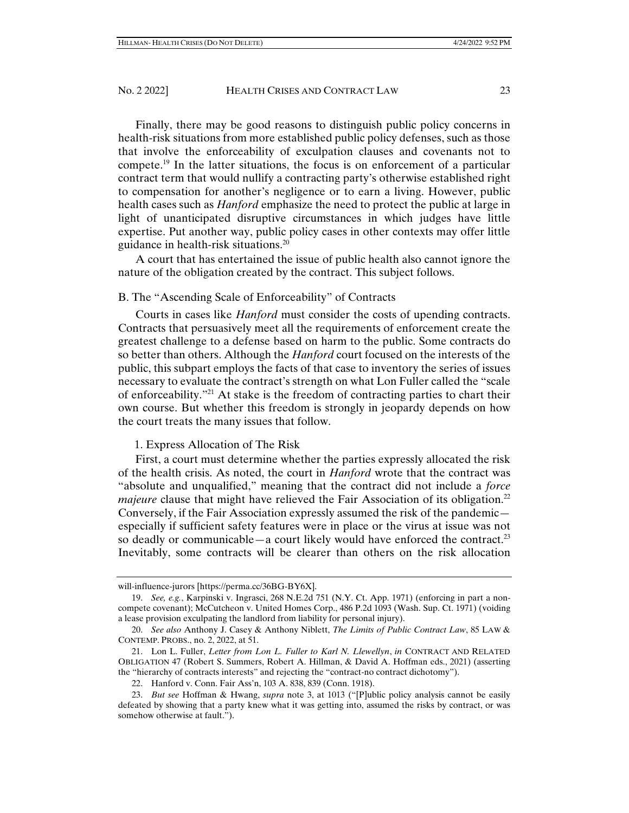Finally, there may be good reasons to distinguish public policy concerns in health-risk situations from more established public policy defenses, such as those that involve the enforceability of exculpation clauses and covenants not to compete.<sup>19</sup> In the latter situations, the focus is on enforcement of a particular contract term that would nullify a contracting party's otherwise established right to compensation for another's negligence or to earn a living. However, public health cases such as *Hanford* emphasize the need to protect the public at large in light of unanticipated disruptive circumstances in which judges have little expertise. Put another way, public policy cases in other contexts may offer little guidance in health-risk situations.20

A court that has entertained the issue of public health also cannot ignore the nature of the obligation created by the contract. This subject follows.

### B. The "Ascending Scale of Enforceability" of Contracts

Courts in cases like *Hanford* must consider the costs of upending contracts. Contracts that persuasively meet all the requirements of enforcement create the greatest challenge to a defense based on harm to the public. Some contracts do so better than others. Although the *Hanford* court focused on the interests of the public, this subpart employs the facts of that case to inventory the series of issues necessary to evaluate the contract's strength on what Lon Fuller called the "scale of enforceability."21 At stake is the freedom of contracting parties to chart their own course. But whether this freedom is strongly in jeopardy depends on how the court treats the many issues that follow.

### 1. Express Allocation of The Risk

First, a court must determine whether the parties expressly allocated the risk of the health crisis. As noted, the court in *Hanford* wrote that the contract was "absolute and unqualified," meaning that the contract did not include a *force majeure* clause that might have relieved the Fair Association of its obligation.<sup>22</sup> Conversely, if the Fair Association expressly assumed the risk of the pandemic especially if sufficient safety features were in place or the virus at issue was not so deadly or communicable—a court likely would have enforced the contract.<sup>23</sup> Inevitably, some contracts will be clearer than others on the risk allocation

will-influence-jurors [https://perma.cc/36BG-BY6X].

 <sup>19.</sup> *See, e.g.*, Karpinski v. Ingrasci, 268 N.E.2d 751 (N.Y. Ct. App. 1971) (enforcing in part a noncompete covenant); McCutcheon v. United Homes Corp., 486 P.2d 1093 (Wash. Sup. Ct. 1971) (voiding a lease provision exculpating the landlord from liability for personal injury).

 <sup>20.</sup> *See also* Anthony J. Casey & Anthony Niblett, *The Limits of Public Contract Law*, 85 LAW & CONTEMP. PROBS., no. 2, 2022, at 51.

 <sup>21.</sup> Lon L. Fuller, *Letter from Lon L. Fuller to Karl N. Llewellyn*, *in* CONTRACT AND RELATED OBLIGATION 47 (Robert S. Summers, Robert A. Hillman, & David A. Hoffman eds., 2021) (asserting the "hierarchy of contracts interests" and rejecting the "contract-no contract dichotomy").

 <sup>22.</sup> Hanford v. Conn. Fair Ass'n, 103 A. 838, 839 (Conn. 1918).

 <sup>23.</sup> *But see* Hoffman & Hwang, *supra* note 3, at 1013 ("[P]ublic policy analysis cannot be easily defeated by showing that a party knew what it was getting into, assumed the risks by contract, or was somehow otherwise at fault.").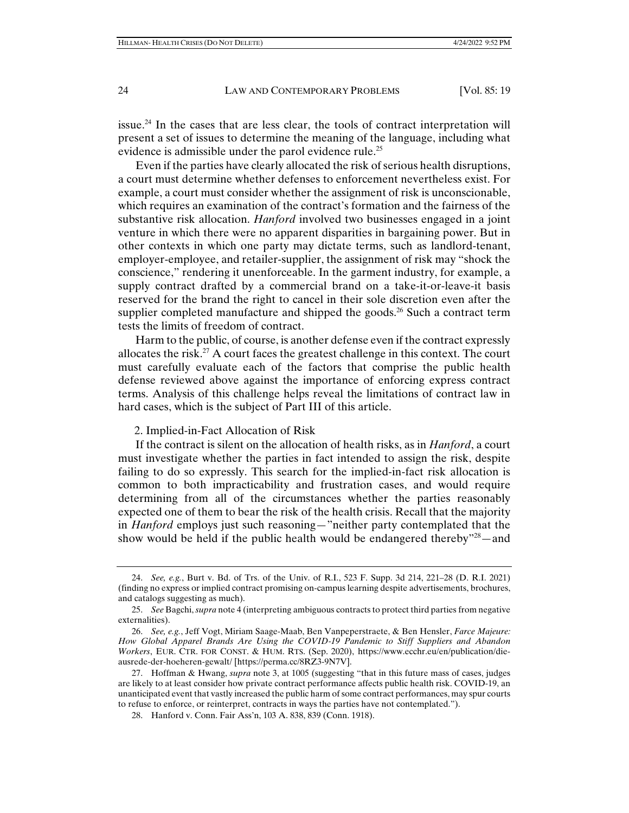issue.24 In the cases that are less clear, the tools of contract interpretation will present a set of issues to determine the meaning of the language, including what evidence is admissible under the parol evidence rule.<sup>25</sup>

Even if the parties have clearly allocated the risk of serious health disruptions, a court must determine whether defenses to enforcement nevertheless exist. For example, a court must consider whether the assignment of risk is unconscionable, which requires an examination of the contract's formation and the fairness of the substantive risk allocation. *Hanford* involved two businesses engaged in a joint venture in which there were no apparent disparities in bargaining power. But in other contexts in which one party may dictate terms, such as landlord-tenant, employer-employee, and retailer-supplier, the assignment of risk may "shock the conscience," rendering it unenforceable. In the garment industry, for example, a supply contract drafted by a commercial brand on a take-it-or-leave-it basis reserved for the brand the right to cancel in their sole discretion even after the supplier completed manufacture and shipped the goods.<sup>26</sup> Such a contract term tests the limits of freedom of contract.

Harm to the public, of course, is another defense even if the contract expressly allocates the risk.<sup>27</sup> A court faces the greatest challenge in this context. The court must carefully evaluate each of the factors that comprise the public health defense reviewed above against the importance of enforcing express contract terms. Analysis of this challenge helps reveal the limitations of contract law in hard cases, which is the subject of Part III of this article.

2. Implied-in-Fact Allocation of Risk

If the contract is silent on the allocation of health risks, as in *Hanford*, a court must investigate whether the parties in fact intended to assign the risk, despite failing to do so expressly. This search for the implied-in-fact risk allocation is common to both impracticability and frustration cases, and would require determining from all of the circumstances whether the parties reasonably expected one of them to bear the risk of the health crisis. Recall that the majority in *Hanford* employs just such reasoning—"neither party contemplated that the show would be held if the public health would be endangered thereby<sup> $328$ </sup> – and

 <sup>24.</sup> *See, e.g.*, Burt v. Bd. of Trs. of the Univ. of R.I., 523 F. Supp. 3d 214, 221–28 (D. R.I. 2021) (finding no express or implied contract promising on-campus learning despite advertisements, brochures, and catalogs suggesting as much).

 <sup>25.</sup> *See* Bagchi, *supra* note 4 (interpreting ambiguous contracts to protect third parties from negative externalities).

 <sup>26.</sup> *See, e.g.*, Jeff Vogt, Miriam Saage-Maab, Ben Vanpeperstraete, & Ben Hensler, *Farce Majeure: How Global Apparel Brands Are Using the COVID-19 Pandemic to Stiff Suppliers and Abandon Workers*, EUR. CTR. FOR CONST. & HUM. RTS. (Sep. 2020), https://www.ecchr.eu/en/publication/dieausrede-der-hoeheren-gewalt/ [https://perma.cc/8RZ3-9N7V].

 <sup>27.</sup> Hoffman & Hwang, *supra* note 3, at 1005 (suggesting "that in this future mass of cases, judges are likely to at least consider how private contract performance affects public health risk. COVID-19, an unanticipated event that vastly increased the public harm of some contract performances, may spur courts to refuse to enforce, or reinterpret, contracts in ways the parties have not contemplated.").

 <sup>28.</sup> Hanford v. Conn. Fair Ass'n, 103 A. 838, 839 (Conn. 1918).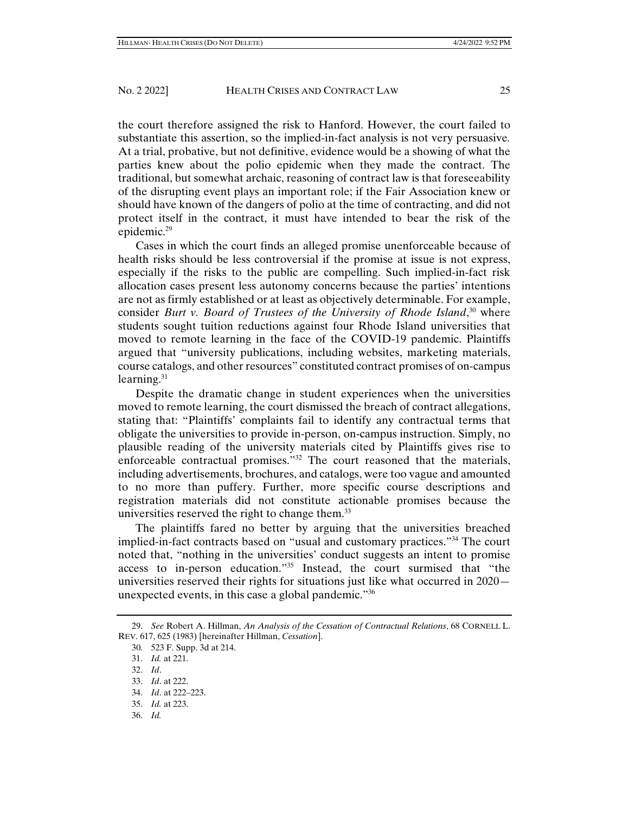the court therefore assigned the risk to Hanford. However, the court failed to substantiate this assertion, so the implied-in-fact analysis is not very persuasive*.*  At a trial, probative, but not definitive, evidence would be a showing of what the parties knew about the polio epidemic when they made the contract. The traditional, but somewhat archaic, reasoning of contract law is that foreseeability of the disrupting event plays an important role; if the Fair Association knew or should have known of the dangers of polio at the time of contracting, and did not protect itself in the contract, it must have intended to bear the risk of the epidemic.<sup>29</sup>

Cases in which the court finds an alleged promise unenforceable because of health risks should be less controversial if the promise at issue is not express, especially if the risks to the public are compelling. Such implied-in-fact risk allocation cases present less autonomy concerns because the parties' intentions are not as firmly established or at least as objectively determinable. For example, consider *Burt v. Board of Trustees of the University of Rhode Island*, 30 where students sought tuition reductions against four Rhode Island universities that moved to remote learning in the face of the COVID-19 pandemic. Plaintiffs argued that "university publications, including websites, marketing materials, course catalogs, and other resources" constituted contract promises of on-campus learning. $31$ 

Despite the dramatic change in student experiences when the universities moved to remote learning, the court dismissed the breach of contract allegations, stating that: "Plaintiffs' complaints fail to identify any contractual terms that obligate the universities to provide in-person, on-campus instruction. Simply, no plausible reading of the university materials cited by Plaintiffs gives rise to enforceable contractual promises."32 The court reasoned that the materials, including advertisements, brochures, and catalogs, were too vague and amounted to no more than puffery. Further, more specific course descriptions and registration materials did not constitute actionable promises because the universities reserved the right to change them.<sup>33</sup>

The plaintiffs fared no better by arguing that the universities breached implied-in-fact contracts based on "usual and customary practices."34 The court noted that, "nothing in the universities' conduct suggests an intent to promise access to in-person education."35 Instead, the court surmised that "the universities reserved their rights for situations just like what occurred in 2020 unexpected events, in this case a global pandemic."<sup>36</sup>

36. *Id.*

 <sup>29.</sup> *See* Robert A. Hillman, *An Analysis of the Cessation of Contractual Relations*, 68 CORNELL L. REV. 617, 625 (1983) [hereinafter Hillman, *Cessation*].

<sup>30</sup>*.* 523 F. Supp. 3d at 214.

 <sup>31.</sup> *Id.* at 221.

 <sup>32.</sup> *Id*.

 <sup>33.</sup> *Id*. at 222.

 <sup>34.</sup> *Id*. at 222–223.

 <sup>35.</sup> *Id.* at 223.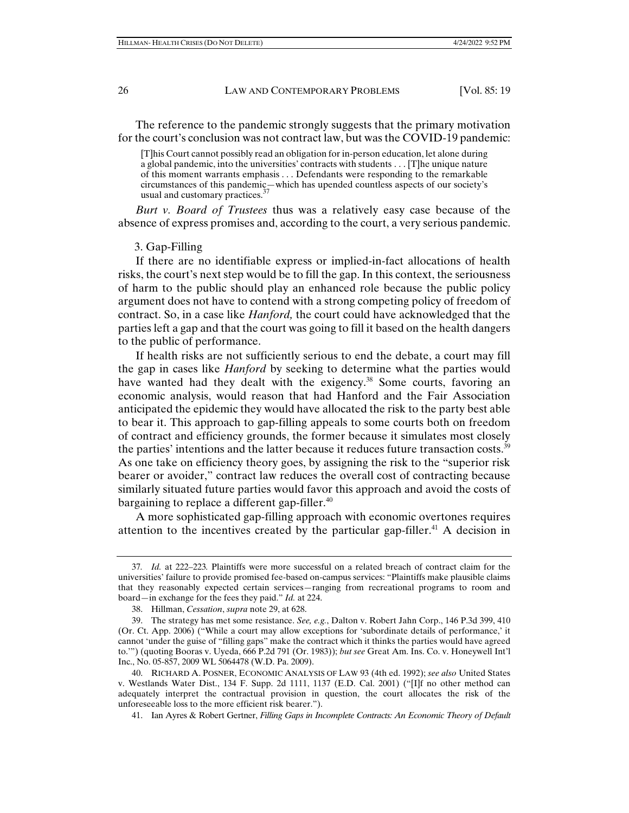The reference to the pandemic strongly suggests that the primary motivation for the court's conclusion was not contract law, but was the COVID-19 pandemic:

[T]his Court cannot possibly read an obligation for in-person education, let alone during a global pandemic, into the universities' contracts with students . . . [T]he unique nature of this moment warrants emphasis . . . Defendants were responding to the remarkable circumstances of this pandemic—which has upended countless aspects of our society's usual and customary practices.<sup>37</sup>

*Burt v. Board of Trustees* thus was a relatively easy case because of the absence of express promises and, according to the court, a very serious pandemic.

3. Gap-Filling

If there are no identifiable express or implied-in-fact allocations of health risks, the court's next step would be to fill the gap. In this context, the seriousness of harm to the public should play an enhanced role because the public policy argument does not have to contend with a strong competing policy of freedom of contract. So, in a case like *Hanford,* the court could have acknowledged that the parties left a gap and that the court was going to fill it based on the health dangers to the public of performance.

If health risks are not sufficiently serious to end the debate, a court may fill the gap in cases like *Hanford* by seeking to determine what the parties would have wanted had they dealt with the exigency.<sup>38</sup> Some courts, favoring an economic analysis, would reason that had Hanford and the Fair Association anticipated the epidemic they would have allocated the risk to the party best able to bear it. This approach to gap-filling appeals to some courts both on freedom of contract and efficiency grounds, the former because it simulates most closely the parties' intentions and the latter because it reduces future transaction costs.<sup>39</sup> As one take on efficiency theory goes, by assigning the risk to the "superior risk bearer or avoider," contract law reduces the overall cost of contracting because similarly situated future parties would favor this approach and avoid the costs of bargaining to replace a different gap-filler.<sup>40</sup>

A more sophisticated gap-filling approach with economic overtones requires attention to the incentives created by the particular gap-filler.<sup>41</sup> A decision in

<sup>37</sup>*. Id.* at 222–223*.* Plaintiffs were more successful on a related breach of contract claim for the universities' failure to provide promised fee-based on-campus services: "Plaintiffs make plausible claims that they reasonably expected certain services—ranging from recreational programs to room and board—in exchange for the fees they paid." *Id.* at 224.

 <sup>38.</sup> Hillman, *Cessation*, *supra* note 29, at 628.

 <sup>39.</sup> The strategy has met some resistance. *See, e.g.*, Dalton v. Robert Jahn Corp., 146 P.3d 399, 410 (Or. Ct. App. 2006) ("While a court may allow exceptions for 'subordinate details of performance,' it cannot 'under the guise of "filling gaps" make the contract which it thinks the parties would have agreed to.'") (quoting Booras v. Uyeda, 666 P.2d 791 (Or. 1983)); *but see* Great Am. Ins. Co. v. Honeywell Int'l Inc., No. 05-857, 2009 WL 5064478 (W.D. Pa. 2009).

 <sup>40.</sup> RICHARD A. POSNER, ECONOMIC ANALYSIS OF LAW 93 (4th ed. 1992); *see also* United States v. Westlands Water Dist., 134 F. Supp. 2d 1111, 1137 (E.D. Cal. 2001) ("[I]f no other method can adequately interpret the contractual provision in question, the court allocates the risk of the unforeseeable loss to the more efficient risk bearer.").

 <sup>41.</sup> Ian Ayres & Robert Gertner, *Filling Gaps in Incomplete Contracts: An Economic Theory of Default*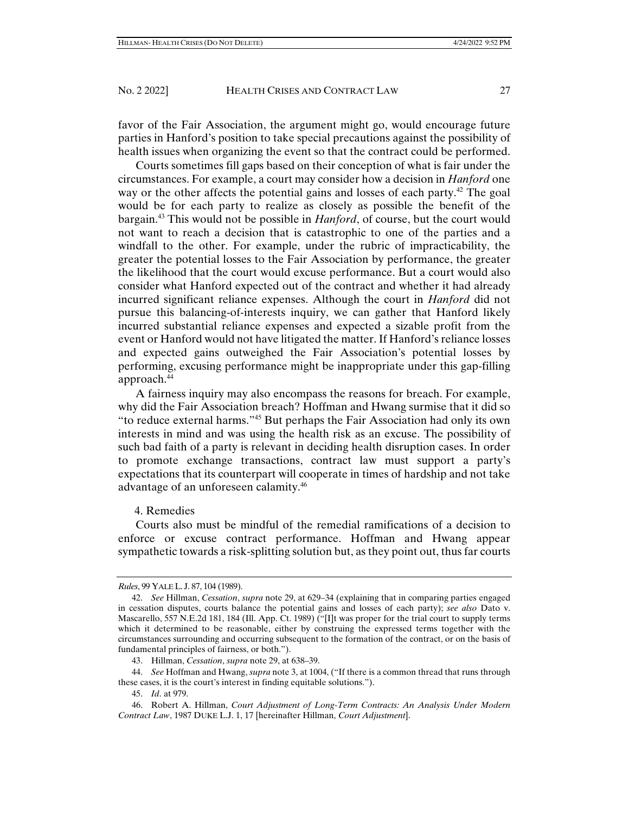favor of the Fair Association, the argument might go, would encourage future parties in Hanford's position to take special precautions against the possibility of health issues when organizing the event so that the contract could be performed.

Courts sometimes fill gaps based on their conception of what is fair under the circumstances. For example, a court may consider how a decision in *Hanford* one way or the other affects the potential gains and losses of each party.<sup>42</sup> The goal would be for each party to realize as closely as possible the benefit of the bargain.43 This would not be possible in *Hanford*, of course, but the court would not want to reach a decision that is catastrophic to one of the parties and a windfall to the other. For example, under the rubric of impracticability, the greater the potential losses to the Fair Association by performance, the greater the likelihood that the court would excuse performance. But a court would also consider what Hanford expected out of the contract and whether it had already incurred significant reliance expenses. Although the court in *Hanford* did not pursue this balancing-of-interests inquiry, we can gather that Hanford likely incurred substantial reliance expenses and expected a sizable profit from the event or Hanford would not have litigated the matter. If Hanford's reliance losses and expected gains outweighed the Fair Association's potential losses by performing, excusing performance might be inappropriate under this gap-filling approach.<sup>44</sup>

A fairness inquiry may also encompass the reasons for breach. For example, why did the Fair Association breach? Hoffman and Hwang surmise that it did so "to reduce external harms."45 But perhaps the Fair Association had only its own interests in mind and was using the health risk as an excuse. The possibility of such bad faith of a party is relevant in deciding health disruption cases. In order to promote exchange transactions, contract law must support a party's expectations that its counterpart will cooperate in times of hardship and not take advantage of an unforeseen calamity.46

### 4. Remedies

Courts also must be mindful of the remedial ramifications of a decision to enforce or excuse contract performance. Hoffman and Hwang appear sympathetic towards a risk-splitting solution but, as they point out, thus far courts

*Rules*, 99 YALE L. J. 87, 104 (1989).

 <sup>42.</sup> *See* Hillman, *Cessation*, *supra* note 29, at 629–34 (explaining that in comparing parties engaged in cessation disputes, courts balance the potential gains and losses of each party); *see also* Dato v. Mascarello, 557 N.E.2d 181, 184 (Ill. App. Ct. 1989) ("[I]t was proper for the trial court to supply terms which it determined to be reasonable, either by construing the expressed terms together with the circumstances surrounding and occurring subsequent to the formation of the contract, or on the basis of fundamental principles of fairness, or both.").

 <sup>43.</sup> Hillman, *Cessation*, *supra* note 29, at 638–39.

 <sup>44.</sup> *See* Hoffman and Hwang, *supra* note 3, at 1004, ("If there is a common thread that runs through these cases, it is the court's interest in finding equitable solutions.").

 <sup>45.</sup> *Id*. at 979.

 <sup>46.</sup> Robert A. Hillman, *Court Adjustment of Long-Term Contracts: An Analysis Under Modern Contract Law*, 1987 DUKE L.J. 1, 17 [hereinafter Hillman, *Court Adjustment*].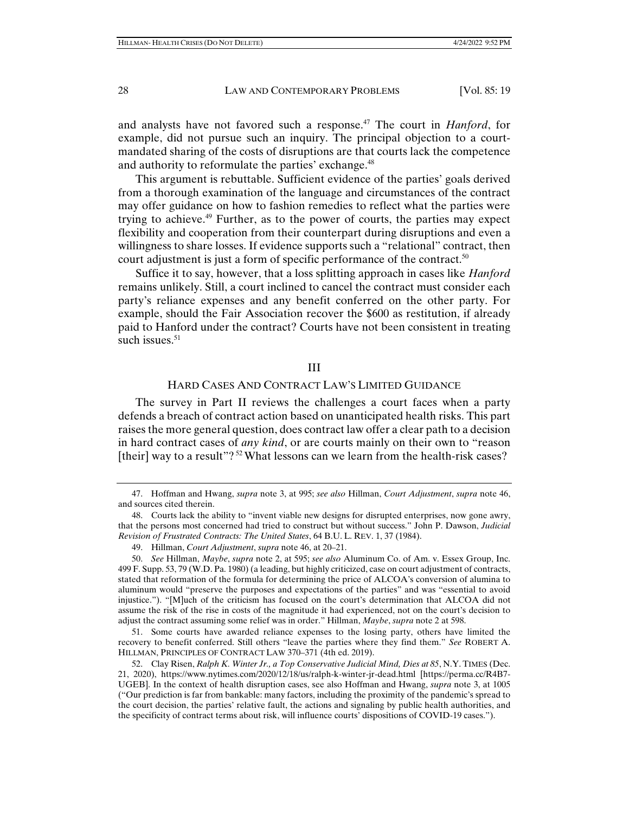and analysts have not favored such a response.47 The court in *Hanford*, for example, did not pursue such an inquiry. The principal objection to a courtmandated sharing of the costs of disruptions are that courts lack the competence and authority to reformulate the parties' exchange.<sup>48</sup>

This argument is rebuttable. Sufficient evidence of the parties' goals derived from a thorough examination of the language and circumstances of the contract may offer guidance on how to fashion remedies to reflect what the parties were trying to achieve.<sup>49</sup> Further, as to the power of courts, the parties may expect flexibility and cooperation from their counterpart during disruptions and even a willingness to share losses. If evidence supports such a "relational" contract, then court adjustment is just a form of specific performance of the contract.<sup>50</sup>

Suffice it to say, however, that a loss splitting approach in cases like *Hanford* remains unlikely. Still, a court inclined to cancel the contract must consider each party's reliance expenses and any benefit conferred on the other party. For example, should the Fair Association recover the \$600 as restitution, if already paid to Hanford under the contract? Courts have not been consistent in treating such issues. $51$ 

#### III

# HARD CASES AND CONTRACT LAW'S LIMITED GUIDANCE

The survey in Part II reviews the challenges a court faces when a party defends a breach of contract action based on unanticipated health risks. This part raises the more general question, does contract law offer a clear path to a decision in hard contract cases of *any kind*, or are courts mainly on their own to "reason [their] way to a result"?<sup>52</sup> What lessons can we learn from the health-risk cases?

 51. Some courts have awarded reliance expenses to the losing party, others have limited the recovery to benefit conferred. Still others "leave the parties where they find them." *See* ROBERT A. HILLMAN, PRINCIPLES OF CONTRACT LAW 370–371 (4th ed. 2019).

 52. Clay Risen, *Ralph K. Winter Jr., a Top Conservative Judicial Mind, Dies at 85*, N.Y. TIMES (Dec. 21, 2020), https://www.nytimes.com/2020/12/18/us/ralph-k-winter-jr-dead.html [https://perma.cc/R4B7- UGEB]. In the context of health disruption cases, see also Hoffman and Hwang, *supra* note 3, at 1005 ("Our prediction is far from bankable: many factors, including the proximity of the pandemic's spread to the court decision, the parties' relative fault, the actions and signaling by public health authorities, and the specificity of contract terms about risk, will influence courts' dispositions of COVID-19 cases.").

 <sup>47.</sup> Hoffman and Hwang, *supra* note 3, at 995; *see also* Hillman, *Court Adjustment*, *supra* note 46, and sources cited therein.

 <sup>48.</sup> Courts lack the ability to "invent viable new designs for disrupted enterprises, now gone awry, that the persons most concerned had tried to construct but without success." John P. Dawson, *Judicial Revision of Frustrated Contracts: The United States*, 64 B.U. L. REV. 1, 37 (1984).

 <sup>49.</sup> Hillman, *Court Adjustment*, *supra* note 46, at 20–21.

 <sup>50.</sup> *See* Hillman, *Maybe*, *supra* note 2, at 595; *see also* Aluminum Co. of Am. v. Essex Group, Inc. 499 F. Supp. 53, 79 (W.D. Pa. 1980) (a leading, but highly criticized, case on court adjustment of contracts, stated that reformation of the formula for determining the price of ALCOA's conversion of alumina to aluminum would "preserve the purposes and expectations of the parties" and was "essential to avoid injustice."). "[M]uch of the criticism has focused on the court's determination that ALCOA did not assume the risk of the rise in costs of the magnitude it had experienced, not on the court's decision to adjust the contract assuming some relief was in order." Hillman, *Maybe*, *supra* note 2 at 598.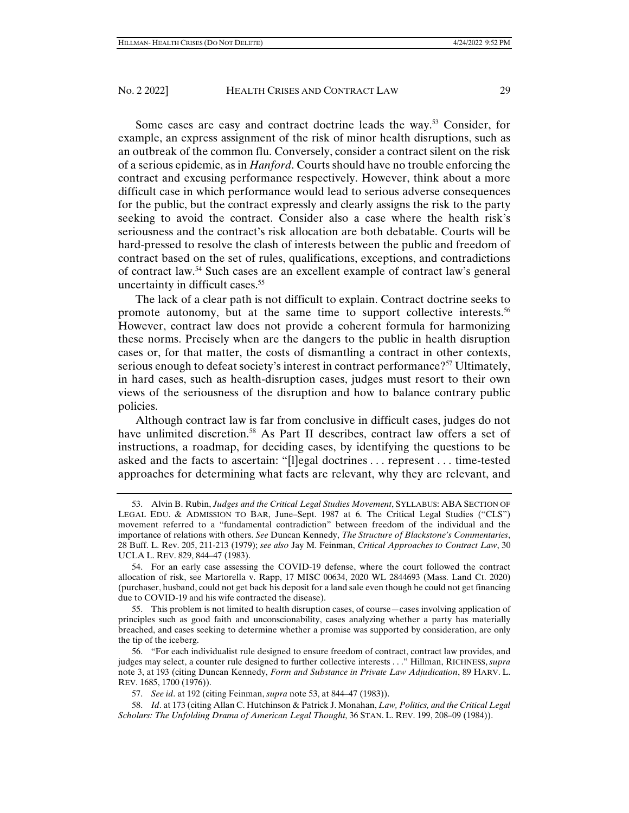Some cases are easy and contract doctrine leads the way.<sup>53</sup> Consider, for example, an express assignment of the risk of minor health disruptions, such as an outbreak of the common flu. Conversely, consider a contract silent on the risk of a serious epidemic, as in *Hanford*. Courts should have no trouble enforcing the contract and excusing performance respectively. However, think about a more difficult case in which performance would lead to serious adverse consequences for the public, but the contract expressly and clearly assigns the risk to the party seeking to avoid the contract. Consider also a case where the health risk's seriousness and the contract's risk allocation are both debatable. Courts will be hard-pressed to resolve the clash of interests between the public and freedom of contract based on the set of rules, qualifications, exceptions, and contradictions of contract law.54 Such cases are an excellent example of contract law's general uncertainty in difficult cases.<sup>55</sup>

The lack of a clear path is not difficult to explain. Contract doctrine seeks to promote autonomy, but at the same time to support collective interests.<sup>56</sup> However, contract law does not provide a coherent formula for harmonizing these norms. Precisely when are the dangers to the public in health disruption cases or, for that matter, the costs of dismantling a contract in other contexts, serious enough to defeat society's interest in contract performance?<sup>57</sup> Ultimately, in hard cases, such as health-disruption cases, judges must resort to their own views of the seriousness of the disruption and how to balance contrary public policies.

Although contract law is far from conclusive in difficult cases, judges do not have unlimited discretion.<sup>58</sup> As Part II describes, contract law offers a set of instructions, a roadmap, for deciding cases, by identifying the questions to be asked and the facts to ascertain: "[l]egal doctrines . . . represent . . . time-tested approaches for determining what facts are relevant, why they are relevant, and

 55. This problem is not limited to health disruption cases, of course—cases involving application of principles such as good faith and unconscionability, cases analyzing whether a party has materially breached, and cases seeking to determine whether a promise was supported by consideration, are only the tip of the iceberg.

 <sup>53.</sup> Alvin B. Rubin, *Judges and the Critical Legal Studies Movement*, SYLLABUS: ABA SECTION OF LEGAL EDU. & ADMISSION TO BAR, June–Sept. 1987 at 6. The Critical Legal Studies ("CLS") movement referred to a "fundamental contradiction" between freedom of the individual and the importance of relations with others. *See* Duncan Kennedy, *The Structure of Blackstone's Commentaries*, 28 Buff. L. Rev. 205, 211-213 (1979); *see also* Jay M. Feinman, *Critical Approaches to Contract Law*, 30 UCLA L. REV. 829, 844–47 (1983).

 <sup>54.</sup> For an early case assessing the COVID-19 defense, where the court followed the contract allocation of risk, see Martorella v. Rapp, 17 MISC 00634, 2020 WL 2844693 (Mass. Land Ct. 2020) (purchaser, husband, could not get back his deposit for a land sale even though he could not get financing due to COVID-19 and his wife contracted the disease).

 <sup>56. &</sup>quot;For each individualist rule designed to ensure freedom of contract, contract law provides, and judges may select, a counter rule designed to further collective interests . . ." Hillman, RICHNESS, *supra* note 3, at 193 (citing Duncan Kennedy, *Form and Substance in Private Law Adjudication*, 89 HARV. L. REV. 1685, 1700 (1976)).

 <sup>57.</sup> *See id*. at 192 (citing Feinman, *supra* note 53, at 844–47 (1983)).

 <sup>58.</sup> *Id*. at 173 (citing Allan C. Hutchinson & Patrick J. Monahan, *Law, Politics, and the Critical Legal Scholars: The Unfolding Drama of American Legal Thought*, 36 STAN. L. REV. 199, 208–09 (1984)).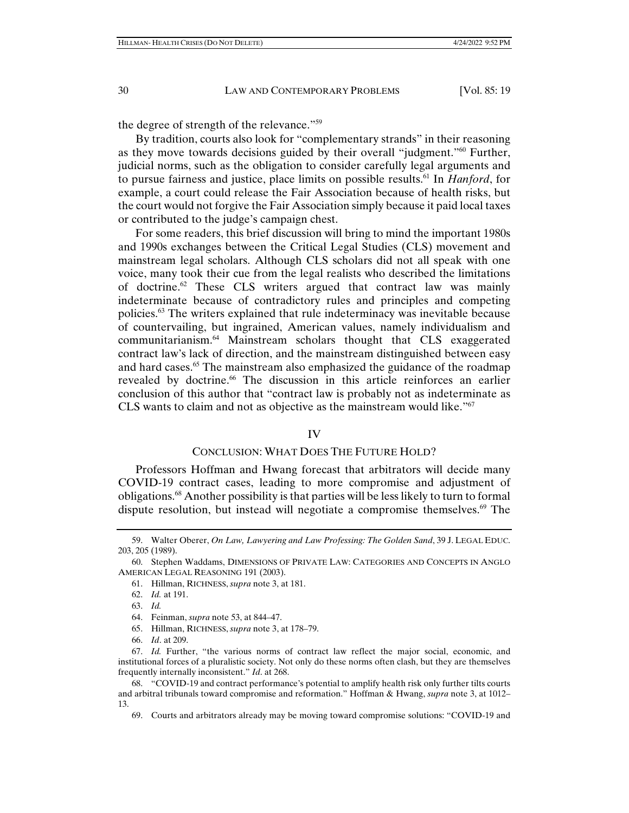the degree of strength of the relevance."59

By tradition, courts also look for "complementary strands" in their reasoning as they move towards decisions guided by their overall "judgment."<sup>60</sup> Further, judicial norms, such as the obligation to consider carefully legal arguments and to pursue fairness and justice, place limits on possible results.61 In *Hanford*, for example, a court could release the Fair Association because of health risks, but the court would not forgive the Fair Association simply because it paid local taxes or contributed to the judge's campaign chest.

For some readers, this brief discussion will bring to mind the important 1980s and 1990s exchanges between the Critical Legal Studies (CLS) movement and mainstream legal scholars. Although CLS scholars did not all speak with one voice, many took their cue from the legal realists who described the limitations of doctrine.<sup>62</sup> These CLS writers argued that contract law was mainly indeterminate because of contradictory rules and principles and competing policies.63 The writers explained that rule indeterminacy was inevitable because of countervailing, but ingrained, American values, namely individualism and communitarianism.64 Mainstream scholars thought that CLS exaggerated contract law's lack of direction, and the mainstream distinguished between easy and hard cases.<sup>65</sup> The mainstream also emphasized the guidance of the roadmap revealed by doctrine.<sup>66</sup> The discussion in this article reinforces an earlier conclusion of this author that "contract law is probably not as indeterminate as CLS wants to claim and not as objective as the mainstream would like."67

#### IV

#### CONCLUSION: WHAT DOES THE FUTURE HOLD?

Professors Hoffman and Hwang forecast that arbitrators will decide many COVID-19 contract cases, leading to more compromise and adjustment of obligations.68 Another possibility is that parties will be less likely to turn to formal dispute resolution, but instead will negotiate a compromise themselves.<sup>69</sup> The

- 64. Feinman, *supra* note 53, at 844–47.
- 65. Hillman, RICHNESS, *supra* note 3, at 178–79.
- 66. *Id*. at 209.

 <sup>59.</sup> Walter Oberer, *On Law, Lawyering and Law Professing: The Golden Sand*, 39 J. LEGAL EDUC. 203, 205 (1989).

 <sup>60.</sup> Stephen Waddams, DIMENSIONS OF PRIVATE LAW: CATEGORIES AND CONCEPTS IN ANGLO AMERICAN LEGAL REASONING 191 (2003).

 <sup>61.</sup> Hillman, RICHNESS, *supra* note 3, at 181.

 <sup>62.</sup> *Id.* at 191.

 <sup>63.</sup> *Id.*

 <sup>67.</sup> *Id.* Further, "the various norms of contract law reflect the major social, economic, and institutional forces of a pluralistic society. Not only do these norms often clash, but they are themselves frequently internally inconsistent." *Id*. at 268.

 <sup>68. &</sup>quot;COVID-19 and contract performance's potential to amplify health risk only further tilts courts and arbitral tribunals toward compromise and reformation." Hoffman & Hwang, *supra* note 3, at 1012– 13.

 <sup>69.</sup> Courts and arbitrators already may be moving toward compromise solutions: "COVID-19 and